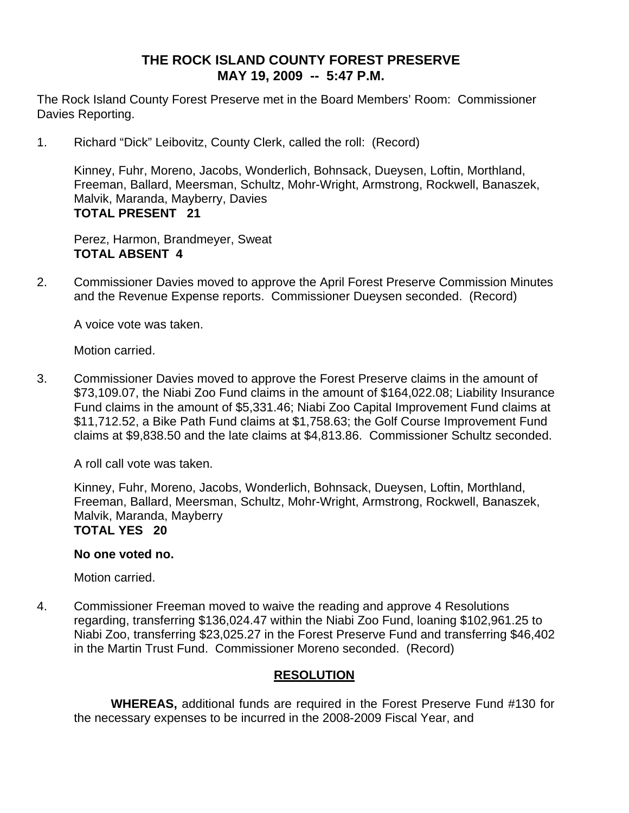### **THE ROCK ISLAND COUNTY FOREST PRESERVE MAY 19, 2009 -- 5:47 P.M.**

The Rock Island County Forest Preserve met in the Board Members' Room: Commissioner Davies Reporting.

1. Richard "Dick" Leibovitz, County Clerk, called the roll: (Record)

Kinney, Fuhr, Moreno, Jacobs, Wonderlich, Bohnsack, Dueysen, Loftin, Morthland, Freeman, Ballard, Meersman, Schultz, Mohr-Wright, Armstrong, Rockwell, Banaszek, Malvik, Maranda, Mayberry, Davies **TOTAL PRESENT 21** 

Perez, Harmon, Brandmeyer, Sweat **TOTAL ABSENT 4** 

2. Commissioner Davies moved to approve the April Forest Preserve Commission Minutes and the Revenue Expense reports. Commissioner Dueysen seconded. (Record)

A voice vote was taken.

Motion carried.

3. Commissioner Davies moved to approve the Forest Preserve claims in the amount of \$73,109.07, the Niabi Zoo Fund claims in the amount of \$164,022.08; Liability Insurance Fund claims in the amount of \$5,331.46; Niabi Zoo Capital Improvement Fund claims at \$11,712.52, a Bike Path Fund claims at \$1,758.63; the Golf Course Improvement Fund claims at \$9,838.50 and the late claims at \$4,813.86. Commissioner Schultz seconded.

A roll call vote was taken.

Kinney, Fuhr, Moreno, Jacobs, Wonderlich, Bohnsack, Dueysen, Loftin, Morthland, Freeman, Ballard, Meersman, Schultz, Mohr-Wright, Armstrong, Rockwell, Banaszek, Malvik, Maranda, Mayberry **TOTAL YES 20** 

#### **No one voted no.**

Motion carried.

4. Commissioner Freeman moved to waive the reading and approve 4 Resolutions regarding, transferring \$136,024.47 within the Niabi Zoo Fund, loaning \$102,961.25 to Niabi Zoo, transferring \$23,025.27 in the Forest Preserve Fund and transferring \$46,402 in the Martin Trust Fund. Commissioner Moreno seconded. (Record)

#### **RESOLUTION**

 **WHEREAS,** additional funds are required in the Forest Preserve Fund #130 for the necessary expenses to be incurred in the 2008-2009 Fiscal Year, and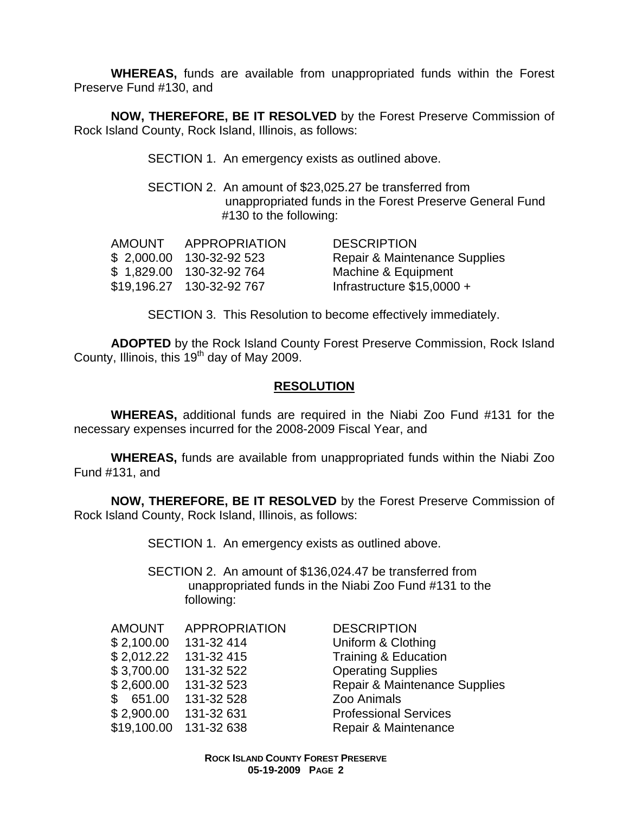**WHEREAS,** funds are available from unappropriated funds within the Forest Preserve Fund #130, and

**NOW, THEREFORE, BE IT RESOLVED** by the Forest Preserve Commission of Rock Island County, Rock Island, Illinois, as follows:

SECTION 1. An emergency exists as outlined above.

SECTION 2. An amount of \$23,025.27 be transferred from unappropriated funds in the Forest Preserve General Fund #130 to the following:

| <b>AMOUNT</b> | APPROPRIATION             | <b>DESCRIPTION</b>            |
|---------------|---------------------------|-------------------------------|
|               | \$2,000.00 130-32-92 523  | Repair & Maintenance Supplies |
|               | \$1,829.00 130-32-92 764  | Machine & Equipment           |
|               | \$19,196.27 130-32-92 767 | Infrastructure $$15,0000 +$   |

SECTION 3. This Resolution to become effectively immediately.

**ADOPTED** by the Rock Island County Forest Preserve Commission, Rock Island County, Illinois, this 19th day of May 2009.

#### **RESOLUTION**

 **WHEREAS,** additional funds are required in the Niabi Zoo Fund #131 for the necessary expenses incurred for the 2008-2009 Fiscal Year, and

**WHEREAS,** funds are available from unappropriated funds within the Niabi Zoo Fund #131, and

**NOW, THEREFORE, BE IT RESOLVED** by the Forest Preserve Commission of Rock Island County, Rock Island, Illinois, as follows:

SECTION 1. An emergency exists as outlined above.

SECTION 2. An amount of \$136,024.47 be transferred from unappropriated funds in the Niabi Zoo Fund #131 to the following:

| <b>AMOUNT</b> | <b>APPROPRIATIO</b> |
|---------------|---------------------|
| \$2,100.00    | 131-32 414          |
| \$2,012.22    | 131-32 415          |
| \$3,700.00    | 131-32 522          |
| \$2,600.00    | 131-32 523          |
| \$651.00      | 131-32 528          |
| \$2,900.00    | 131-32 631          |
| \$19,100.00   | 131-32 638          |
|               |                     |

**ON DESCRIPTION** Uniform & Clothing **Training & Education Operating Supplies Repair & Maintenance Supplies** Zoo Animals **Professional Services** Repair & Maintenance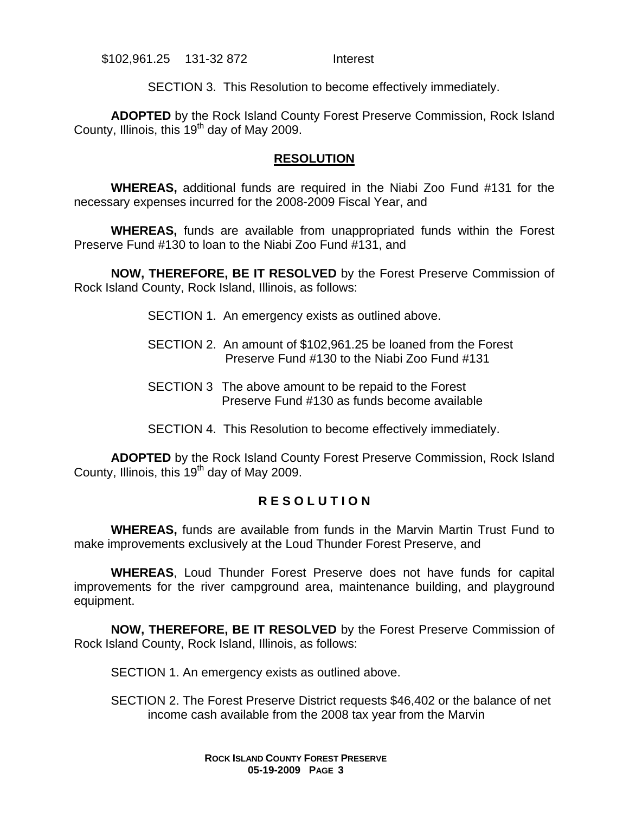\$102,961.25 131-32 872 Interest

SECTION 3. This Resolution to become effectively immediately.

**ADOPTED** by the Rock Island County Forest Preserve Commission, Rock Island County, Illinois, this 19<sup>th</sup> day of May 2009.

#### **RESOLUTION**

 **WHEREAS,** additional funds are required in the Niabi Zoo Fund #131 for the necessary expenses incurred for the 2008-2009 Fiscal Year, and

**WHEREAS,** funds are available from unappropriated funds within the Forest Preserve Fund #130 to loan to the Niabi Zoo Fund #131, and

**NOW, THEREFORE, BE IT RESOLVED** by the Forest Preserve Commission of Rock Island County, Rock Island, Illinois, as follows:

SECTION 1. An emergency exists as outlined above.

- SECTION 2. An amount of \$102,961.25 be loaned from the Forest Preserve Fund #130 to the Niabi Zoo Fund #131
- SECTION 3 The above amount to be repaid to the Forest Preserve Fund #130 as funds become available
- SECTION 4. This Resolution to become effectively immediately.

**ADOPTED** by the Rock Island County Forest Preserve Commission, Rock Island County, Illinois, this 19th day of May 2009.

#### **R E S O L U T I O N**

 **WHEREAS,** funds are available from funds in the Marvin Martin Trust Fund to make improvements exclusively at the Loud Thunder Forest Preserve, and

**WHEREAS**, Loud Thunder Forest Preserve does not have funds for capital improvements for the river campground area, maintenance building, and playground equipment.

**NOW, THEREFORE, BE IT RESOLVED** by the Forest Preserve Commission of Rock Island County, Rock Island, Illinois, as follows:

SECTION 1. An emergency exists as outlined above.

SECTION 2. The Forest Preserve District requests \$46,402 or the balance of net income cash available from the 2008 tax year from the Marvin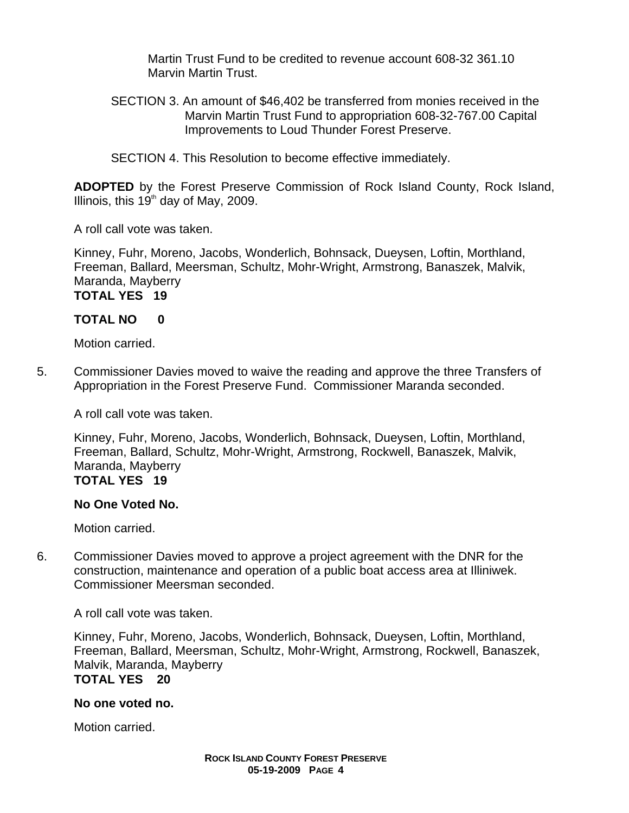Martin Trust Fund to be credited to revenue account 608-32 361.10 Marvin Martin Trust.

SECTION 3. An amount of \$46,402 be transferred from monies received in the Marvin Martin Trust Fund to appropriation 608-32-767.00 Capital Improvements to Loud Thunder Forest Preserve.

SECTION 4. This Resolution to become effective immediately.

**ADOPTED** by the Forest Preserve Commission of Rock Island County, Rock Island, Illinois, this  $19<sup>th</sup>$  day of May, 2009.

A roll call vote was taken.

Kinney, Fuhr, Moreno, Jacobs, Wonderlich, Bohnsack, Dueysen, Loftin, Morthland, Freeman, Ballard, Meersman, Schultz, Mohr-Wright, Armstrong, Banaszek, Malvik, Maranda, Mayberry

## **TOTAL YES 19**

#### **TOTAL NO 0**

Motion carried.

5. Commissioner Davies moved to waive the reading and approve the three Transfers of Appropriation in the Forest Preserve Fund. Commissioner Maranda seconded.

A roll call vote was taken.

Kinney, Fuhr, Moreno, Jacobs, Wonderlich, Bohnsack, Dueysen, Loftin, Morthland, Freeman, Ballard, Schultz, Mohr-Wright, Armstrong, Rockwell, Banaszek, Malvik, Maranda, Mayberry **TOTAL YES 19** 

#### **No One Voted No.**

Motion carried.

6. Commissioner Davies moved to approve a project agreement with the DNR for the construction, maintenance and operation of a public boat access area at Illiniwek. Commissioner Meersman seconded.

A roll call vote was taken.

Kinney, Fuhr, Moreno, Jacobs, Wonderlich, Bohnsack, Dueysen, Loftin, Morthland, Freeman, Ballard, Meersman, Schultz, Mohr-Wright, Armstrong, Rockwell, Banaszek, Malvik, Maranda, Mayberry **TOTAL YES 20** 

# **No one voted no.**

Motion carried.